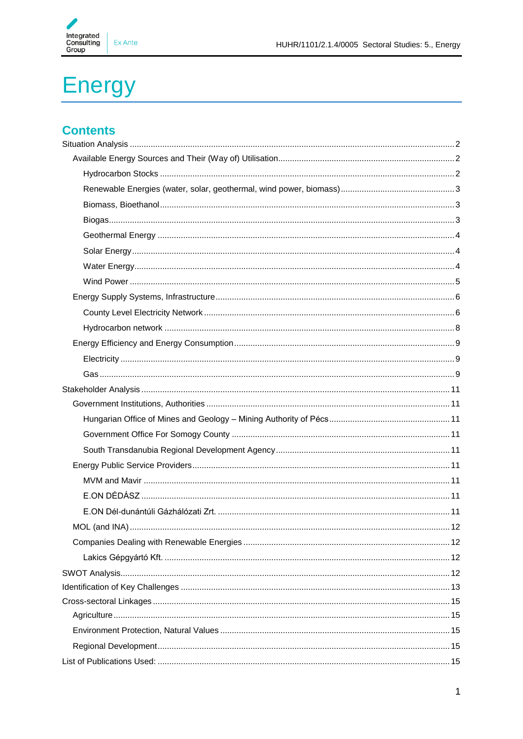

# **Energy**

# **Contents**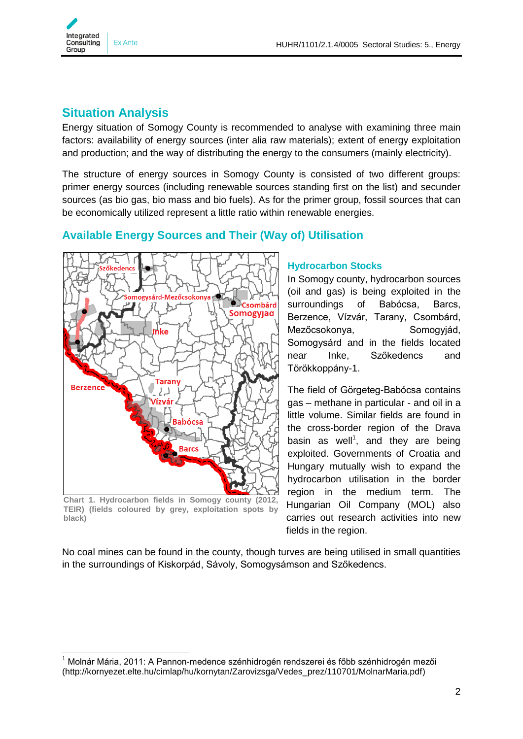

# <span id="page-1-0"></span>**Situation Analysis**

Energy situation of Somogy County is recommended to analyse with examining three main factors: availability of energy sources (inter alia raw materials); extent of energy exploitation and production; and the way of distributing the energy to the consumers (mainly electricity).

The structure of energy sources in Somogy County is consisted of two different groups: primer energy sources (including renewable sources standing first on the list) and secunder sources (as bio gas, bio mass and bio fuels). As for the primer group, fossil sources that can be economically utilized represent a little ratio within renewable energies.

## <span id="page-1-1"></span>**Available Energy Sources and Their (Way of) Utilisation**



**Chart 1. Hydrocarbon fields in Somogy county (2012, TEIR) (fields coloured by grey, exploitation spots by black)**

1

## <span id="page-1-2"></span>**Hydrocarbon Stocks**

In Somogy county, hydrocarbon sources (oil and gas) is being exploited in the surroundings of Babócsa, Barcs, Berzence, Vízvár, Tarany, Csombárd, Mezőcsokonya, Somogyjád, Somogysárd and in the fields located near Inke, Szőkedencs and Törökkoppány-1.

The field of Görgeteg-Babócsa contains gas – methane in particular - and oil in a little volume. Similar fields are found in the cross-border region of the Drava basin as well<sup>1</sup>, and they are being exploited. Governments of Croatia and Hungary mutually wish to expand the hydrocarbon utilisation in the border region in the medium term. The Hungarian Oil Company (MOL) also carries out research activities into new fields in the region.

No coal mines can be found in the county, though turves are being utilised in small quantities in the surroundings of Kiskorpád, Sávoly, Somogysámson and Szőkedencs.

<sup>&</sup>lt;sup>1</sup> Molnár Mária, 2011: A Pannon-medence szénhidrogén rendszerei és főbb szénhidrogén mezői (http://kornyezet.elte.hu/cimlap/hu/kornytan/Zarovizsga/Vedes\_prez/110701/MolnarMaria.pdf)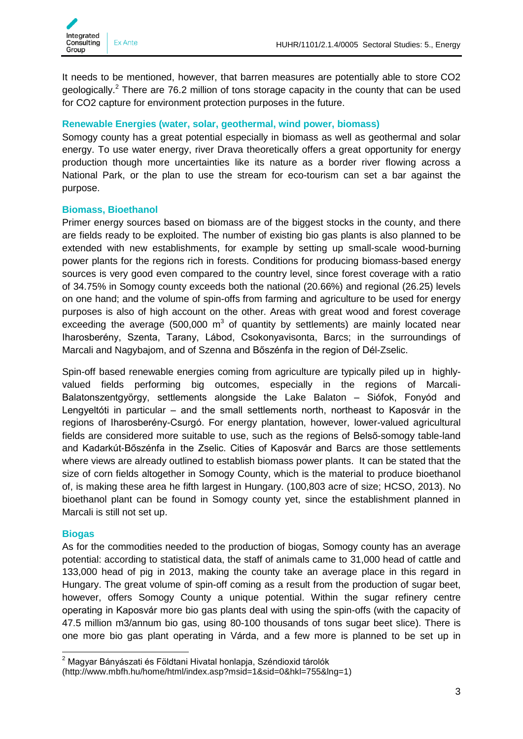

It needs to be mentioned, however, that barren measures are potentially able to store CO2 geologically.<sup>2</sup> There are 76.2 million of tons storage capacity in the county that can be used for CO2 capture for environment protection purposes in the future.

## <span id="page-2-0"></span>**Renewable Energies (water, solar, geothermal, wind power, biomass)**

Somogy county has a great potential especially in biomass as well as geothermal and solar energy. To use water energy, river Drava theoretically offers a great opportunity for energy production though more uncertainties like its nature as a border river flowing across a National Park, or the plan to use the stream for eco-tourism can set a bar against the purpose.

## <span id="page-2-1"></span>**Biomass, Bioethanol**

Primer energy sources based on biomass are of the biggest stocks in the county, and there are fields ready to be exploited. The number of existing bio gas plants is also planned to be extended with new establishments, for example by setting up small-scale wood-burning power plants for the regions rich in forests. Conditions for producing biomass-based energy sources is very good even compared to the country level, since forest coverage with a ratio of 34.75% in Somogy county exceeds both the national (20.66%) and regional (26.25) levels on one hand; and the volume of spin-offs from farming and agriculture to be used for energy purposes is also of high account on the other. Areas with great wood and forest coverage exceeding the average (500,000  $m^3$  of quantity by settlements) are mainly located near Iharosberény, Szenta, Tarany, Lábod, Csokonyavisonta, Barcs; in the surroundings of Marcali and Nagybajom, and of Szenna and Bőszénfa in the region of Dél-Zselic.

Spin-off based renewable energies coming from agriculture are typically piled up in highlyvalued fields performing big outcomes, especially in the regions of Marcali-Balatonszentgyörgy, settlements alongside the Lake Balaton – Siófok, Fonyód and Lengyeltóti in particular – and the small settlements north, northeast to Kaposvár in the regions of Iharosberény-Csurgó. For energy plantation, however, lower-valued agricultural fields are considered more suitable to use, such as the regions of Belső-somogy table-land and Kadarkút-Bőszénfa in the Zselic. Cities of Kaposvár and Barcs are those settlements where views are already outlined to establish biomass power plants. It can be stated that the size of corn fields altogether in Somogy County, which is the material to produce bioethanol of, is making these area he fifth largest in Hungary. (100,803 acre of size; HCSO, 2013). No bioethanol plant can be found in Somogy county yet, since the establishment planned in Marcali is still not set up.

## <span id="page-2-2"></span>**Biogas**

As for the commodities needed to the production of biogas, Somogy county has an average potential: according to statistical data, the staff of animals came to 31,000 head of cattle and 133,000 head of pig in 2013, making the county take an average place in this regard in Hungary. The great volume of spin-off coming as a result from the production of sugar beet, however, offers Somogy County a unique potential. Within the sugar refinery centre operating in Kaposvár more bio gas plants deal with using the spin-offs (with the capacity of 47.5 million m3/annum bio gas, using 80-100 thousands of tons sugar beet slice). There is one more bio gas plant operating in Várda, and a few more is planned to be set up in

<sup>1</sup>  $2$  Magyar Bányászati és Földtani Hivatal honlapja, Széndioxid tárolók

<sup>(</sup>http://www.mbfh.hu/home/html/index.asp?msid=1&sid=0&hkl=755&lng=1)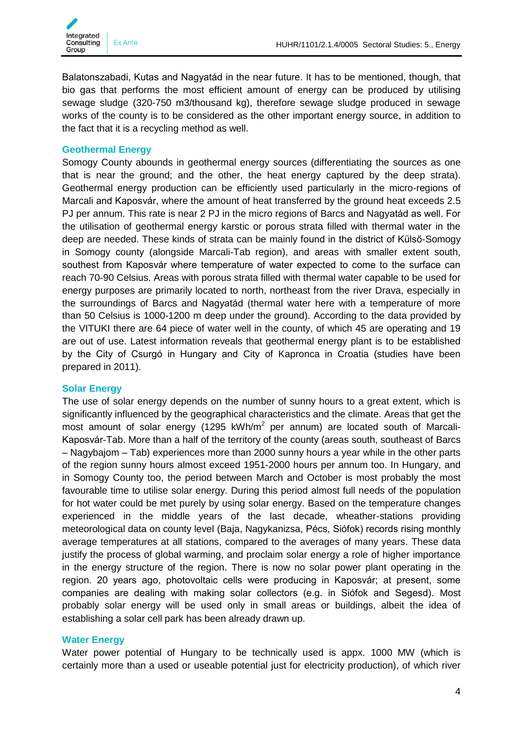

Balatonszabadi, Kutas and Nagyatád in the near future. It has to be mentioned, though, that bio gas that performs the most efficient amount of energy can be produced by utilising sewage sludge (320-750 m3/thousand kg), therefore sewage sludge produced in sewage works of the county is to be considered as the other important energy source, in addition to the fact that it is a recycling method as well.

#### <span id="page-3-0"></span>**Geothermal Energy**

Somogy County abounds in geothermal energy sources (differentiating the sources as one that is near the ground; and the other, the heat energy captured by the deep strata). Geothermal energy production can be efficiently used particularly in the micro-regions of Marcali and Kaposvár, where the amount of heat transferred by the ground heat exceeds 2.5 PJ per annum. This rate is near 2 PJ in the micro regions of Barcs and Nagyatád as well. For the utilisation of geothermal energy karstic or porous strata filled with thermal water in the deep are needed. These kinds of strata can be mainly found in the district of Külső-Somogy in Somogy county (alongside Marcali-Tab region), and areas with smaller extent south, southest from Kaposvár where temperature of water expected to come to the surface can reach 70-90 Celsius. Areas with porous strata filled with thermal water capable to be used for energy purposes are primarily located to north, northeast from the river Drava, especially in the surroundings of Barcs and Nagyatád (thermal water here with a temperature of more than 50 Celsius is 1000-1200 m deep under the ground). According to the data provided by the VITUKI there are 64 piece of water well in the county, of which 45 are operating and 19 are out of use. Latest information reveals that geothermal energy plant is to be established by the City of Csurgó in Hungary and City of Kapronca in Croatia (studies have been prepared in 2011).

## <span id="page-3-1"></span>**Solar Energy**

The use of solar energy depends on the number of sunny hours to a great extent, which is significantly influenced by the geographical characteristics and the climate. Areas that get the most amount of solar energy (1295 kWh/m<sup>2</sup> per annum) are located south of Marcali-Kaposvár-Tab. More than a half of the territory of the county (areas south, southeast of Barcs – Nagybajom – Tab) experiences more than 2000 sunny hours a year while in the other parts of the region sunny hours almost exceed 1951-2000 hours per annum too. In Hungary, and in Somogy County too, the period between March and October is most probably the most favourable time to utilise solar energy. During this period almost full needs of the population for hot water could be met purely by using solar energy. Based on the temperature changes experienced in the middle years of the last decade, wheather-stations providing meteorological data on county level (Baja, Nagykanizsa, Pécs, Siófok) records rising monthly average temperatures at all stations, compared to the averages of many years. These data justify the process of global warming, and proclaim solar energy a role of higher importance in the energy structure of the region. There is now no solar power plant operating in the region. 20 years ago, photovoltaic cells were producing in Kaposvár; at present, some companies are dealing with making solar collectors (e.g. in Siófok and Segesd). Most probably solar energy will be used only in small areas or buildings, albeit the idea of establishing a solar cell park has been already drawn up.

#### <span id="page-3-2"></span>**Water Energy**

Water power potential of Hungary to be technically used is appx. 1000 MW (which is certainly more than a used or useable potential just for electricity production), of which river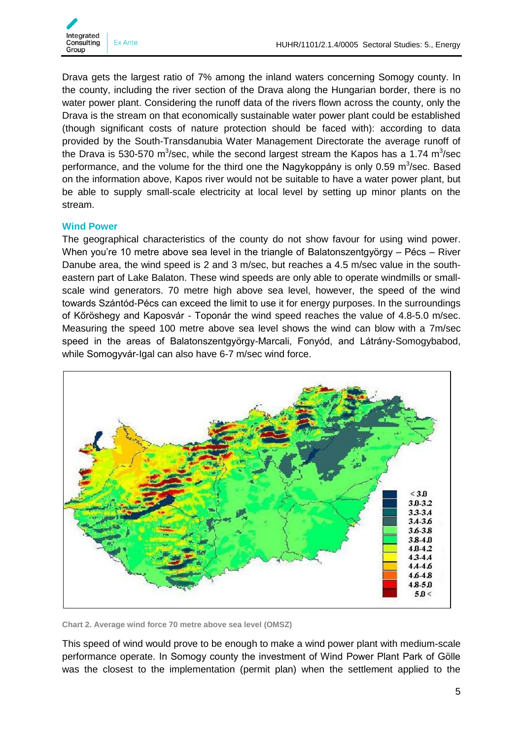

Drava gets the largest ratio of 7% among the inland waters concerning Somogy county. In the county, including the river section of the Drava along the Hungarian border, there is no water power plant. Considering the runoff data of the rivers flown across the county, only the Drava is the stream on that economically sustainable water power plant could be established (though significant costs of nature protection should be faced with): according to data provided by the South-Transdanubia Water Management Directorate the average runoff of the Drava is 530-570 m<sup>3</sup>/sec, while the second largest stream the Kapos has a 1.74 m<sup>3</sup>/sec performance, and the volume for the third one the Nagykoppány is only 0.59 m<sup>3</sup>/sec. Based on the information above, Kapos river would not be suitable to have a water power plant, but be able to supply small-scale electricity at local level by setting up minor plants on the stream.

#### <span id="page-4-0"></span>**Wind Power**

The geographical characteristics of the county do not show favour for using wind power. When you're 10 metre above sea level in the triangle of Balatonszentgyörgy – Pécs – River Danube area, the wind speed is 2 and 3 m/sec, but reaches a 4.5 m/sec value in the southeastern part of Lake Balaton. These wind speeds are only able to operate windmills or smallscale wind generators. 70 metre high above sea level, however, the speed of the wind towards Szántód-Pécs can exceed the limit to use it for energy purposes. In the surroundings of Kőröshegy and Kaposvár - Toponár the wind speed reaches the value of 4.8-5.0 m/sec. Measuring the speed 100 metre above sea level shows the wind can blow with a 7m/sec speed in the areas of Balatonszentgyörgy-Marcali, Fonyód, and Látrány-Somogybabod, while Somogyvár-Igal can also have 6-7 m/sec wind force.



**Chart 2. Average wind force 70 metre above sea level (OMSZ)**

This speed of wind would prove to be enough to make a wind power plant with medium-scale performance operate. In Somogy county the investment of Wind Power Plant Park of Gölle was the closest to the implementation (permit plan) when the settlement applied to the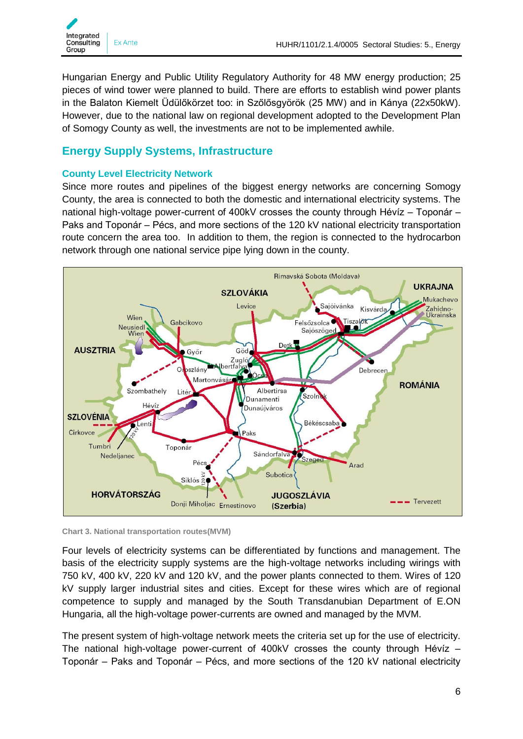

Hungarian Energy and Public Utility Regulatory Authority for 48 MW energy production; 25 pieces of wind tower were planned to build. There are efforts to establish wind power plants in the Balaton Kiemelt Üdülőkörzet too: in Szőlősgyörök (25 MW) and in Kánya (22x50kW). However, due to the national law on regional development adopted to the Development Plan of Somogy County as well, the investments are not to be implemented awhile.

## <span id="page-5-0"></span>**Energy Supply Systems, Infrastructure**

## <span id="page-5-1"></span>**County Level Electricity Network**

Since more routes and pipelines of the biggest energy networks are concerning Somogy County, the area is connected to both the domestic and international electricity systems. The national high-voltage power-current of 400kV crosses the county through Hévíz – Toponár – Paks and Toponár – Pécs, and more sections of the 120 kV national electricity transportation route concern the area too. In addition to them, the region is connected to the hydrocarbon network through one national service pipe lying down in the county.



**Chart 3. National transportation routes(MVM)**

Four levels of electricity systems can be differentiated by functions and management. The basis of the electricity supply systems are the high-voltage networks including wirings with 750 kV, 400 kV, 220 kV and 120 kV, and the power plants connected to them. Wires of 120 kV supply larger industrial sites and cities. Except for these wires which are of regional competence to supply and managed by the South Transdanubian Department of E.ON Hungaria, all the high-voltage power-currents are owned and managed by the MVM.

The present system of high-voltage network meets the criteria set up for the use of electricity. The national high-voltage power-current of 400kV crosses the county through Hévíz – Toponár – Paks and Toponár – Pécs, and more sections of the 120 kV national electricity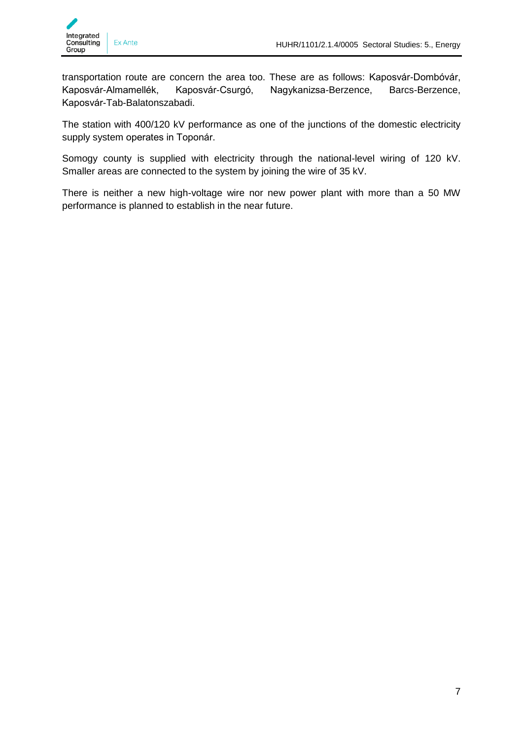transportation route are concern the area too. These are as follows: Kaposvár-Dombóvár, Kaposvár-Almamellék, Kaposvár-Csurgó, Nagykanizsa-Berzence, Barcs-Berzence, Kaposvár-Tab-Balatonszabadi.

The station with 400/120 kV performance as one of the junctions of the domestic electricity supply system operates in Toponár.

Somogy county is supplied with electricity through the national-level wiring of 120 kV. Smaller areas are connected to the system by joining the wire of 35 kV.

There is neither a new high-voltage wire nor new power plant with more than a 50 MW performance is planned to establish in the near future.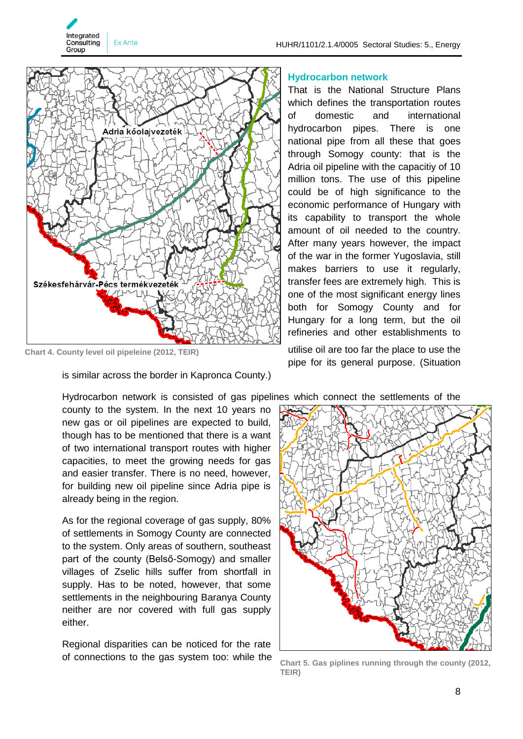

**Chart 4. County level oil pipeleine (2012, TEIR)**

Integrated **Consulting** 

Group

Ex Ante

is similar across the border in Kapronca County.)

Hydrocarbon network is consisted of gas pipelines which connect the settlements of the county to the system. In the next 10 years no new gas or oil pipelines are expected to build, though has to be mentioned that there is a want of two international transport routes with higher capacities, to meet the growing needs for gas and easier transfer. There is no need, however, for building new oil pipeline since Adria pipe is already being in the region.

As for the regional coverage of gas supply, 80% of settlements in Somogy County are connected to the system. Only areas of southern, southeast part of the county (Belső-Somogy) and smaller villages of Zselic hills suffer from shortfall in supply. Has to be noted, however, that some settlements in the neighbouring Baranya County neither are nor covered with full gas supply either.

Regional disparities can be noticed for the rate of connections to the gas system too: while the

#### <span id="page-7-0"></span>**Hydrocarbon network**

That is the National Structure Plans which defines the transportation routes of domestic and international hydrocarbon pipes. There is one national pipe from all these that goes through Somogy county: that is the Adria oil pipeline with the capacitiy of 10 million tons. The use of this pipeline could be of high significance to the economic performance of Hungary with its capability to transport the whole amount of oil needed to the country. After many years however, the impact of the war in the former Yugoslavia, still makes barriers to use it regularly, transfer fees are extremely high. This is one of the most significant energy lines both for Somogy County and for Hungary for a long term, but the oil refineries and other establishments to utilise oil are too far the place to use the pipe for its general purpose. (Situation



**Chart 5. Gas piplines running through the county (2012, TEIR)**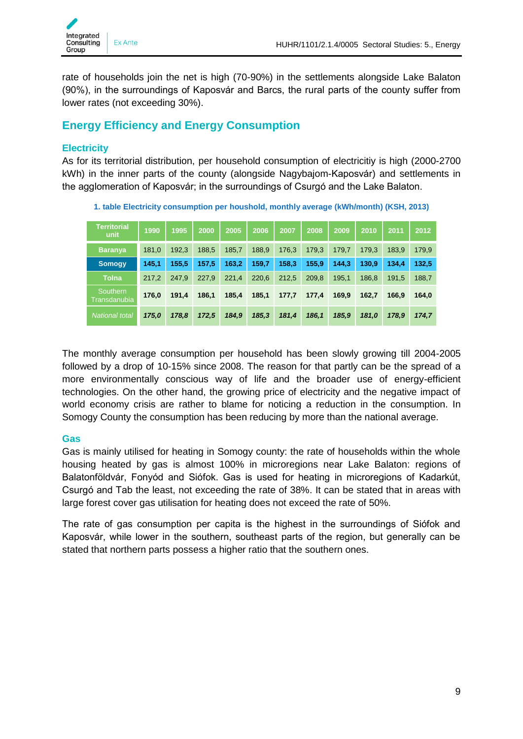

rate of households join the net is high (70-90%) in the settlements alongside Lake Balaton (90%), in the surroundings of Kaposvár and Barcs, the rural parts of the county suffer from lower rates (not exceeding 30%).

## <span id="page-8-0"></span>**Energy Efficiency and Energy Consumption**

## <span id="page-8-1"></span>**Electricity**

As for its territorial distribution, per household consumption of electricitiy is high (2000-2700 kWh) in the inner parts of the county (alongside Nagybajom-Kaposvár) and settlements in the agglomeration of Kaposvár; in the surroundings of Csurgó and the Lake Balaton.

| <b>Territorial</b><br>unit | 1990  | 1995  | 2000  | 2005  | 2006  | 2007  | 2008  | 2009  | 2010  | 2011  | 2012  |
|----------------------------|-------|-------|-------|-------|-------|-------|-------|-------|-------|-------|-------|
| <b>Baranya</b>             | 181,0 | 192,3 | 188,5 | 185,7 | 188,9 | 176,3 | 179,3 | 179,7 | 179.3 | 183.9 | 179,9 |
| <b>Somogy</b>              | 145,1 | 155,5 | 157,5 | 163,2 | 159,7 | 158,3 | 155,9 | 144,3 | 130.9 | 134.4 | 132,5 |
| <b>Tolna</b>               | 217,2 | 247.9 | 227,9 | 221,4 | 220,6 | 212,5 | 209,8 | 195,1 | 186,8 | 191,5 | 188,7 |
| Southern<br>Transdanubia   | 176,0 | 191,4 | 186,1 | 185,4 | 185,1 | 177,7 | 177,4 | 169,9 | 162,7 | 166.9 | 164,0 |
| <b>National total</b>      | 175,0 | 178,8 | 172,5 | 184,9 | 185,3 | 181,4 | 186,1 | 185,9 | 181,0 | 178,9 | 174,7 |

**1. table Electricity consumption per houshold, monthly average (kWh/month) (KSH, 2013)**

The monthly average consumption per household has been slowly growing till 2004-2005 followed by a drop of 10-15% since 2008. The reason for that partly can be the spread of a more environmentally conscious way of life and the broader use of energy-efficient technologies. On the other hand, the growing price of electricity and the negative impact of world economy crisis are rather to blame for noticing a reduction in the consumption. In Somogy County the consumption has been reducing by more than the national average.

## <span id="page-8-2"></span>**Gas**

Gas is mainly utilised for heating in Somogy county: the rate of households within the whole housing heated by gas is almost 100% in microregions near Lake Balaton: regions of Balatonföldvár, Fonyód and Siófok. Gas is used for heating in microregions of Kadarkút, Csurgó and Tab the least, not exceeding the rate of 38%. It can be stated that in areas with large forest cover gas utilisation for heating does not exceed the rate of 50%.

The rate of gas consumption per capita is the highest in the surroundings of Siófok and Kaposvár, while lower in the southern, southeast parts of the region, but generally can be stated that northern parts possess a higher ratio that the southern ones.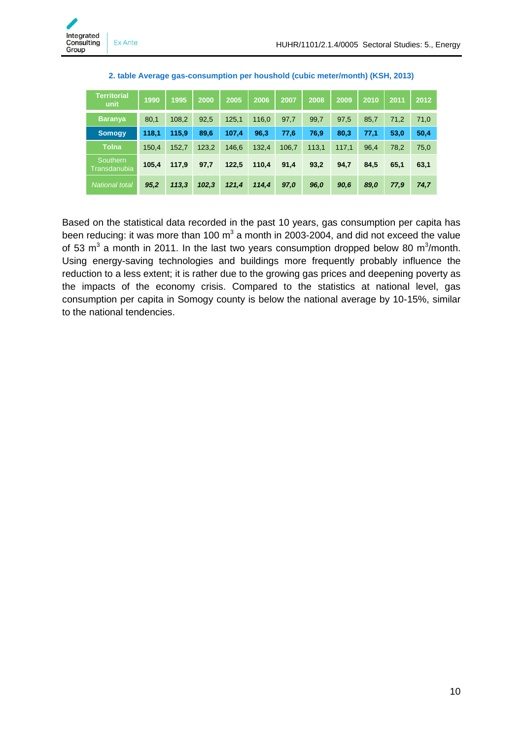| <b>Territorial</b><br>unit | 1990  | 1995  | 2000  | 2005  | 2006  | 2007  | 2008  | 2009  | 2010 | 2011 | 2012 |
|----------------------------|-------|-------|-------|-------|-------|-------|-------|-------|------|------|------|
| <b>Baranya</b>             | 80,1  | 108,2 | 92,5  | 125,1 | 116,0 | 97,7  | 99,7  | 97.5  | 85,7 | 71,2 | 71,0 |
| <b>Somogy</b>              | 118,1 | 115,9 | 89,6  | 107,4 | 96,3  | 77,6  | 76,9  | 80,3  | 77,1 | 53,0 | 50,4 |
| <b>Tolna</b>               | 150,4 | 152,7 | 123,2 | 146,6 | 132,4 | 106,7 | 113.1 | 117.1 | 96.4 | 78,2 | 75,0 |
| Southern<br>Transdanubia   | 105,4 | 117,9 | 97,7  | 122,5 | 110,4 | 91,4  | 93,2  | 94,7  | 84,5 | 65,1 | 63,1 |
| <b>National total</b>      | 95,2  | 113.3 | 102,3 | 121,4 | 114,4 | 97,0  | 96,0  | 90,6  | 89,0 | 77,9 | 74,7 |

| 2. table Average gas-consumption per houshold (cubic meter/month) (KSH, 2013) |  |  |
|-------------------------------------------------------------------------------|--|--|
|-------------------------------------------------------------------------------|--|--|

Based on the statistical data recorded in the past 10 years, gas consumption per capita has been reducing: it was more than 100 m<sup>3</sup> a month in 2003-2004, and did not exceed the value of 53  $\text{m}^3$  a month in 2011. In the last two years consumption dropped below 80  $\text{m}^3/\text{month}$ . Using energy-saving technologies and buildings more frequently probably influence the reduction to a less extent; it is rather due to the growing gas prices and deepening poverty as the impacts of the economy crisis. Compared to the statistics at national level, gas consumption per capita in Somogy county is below the national average by 10-15%, similar to the national tendencies.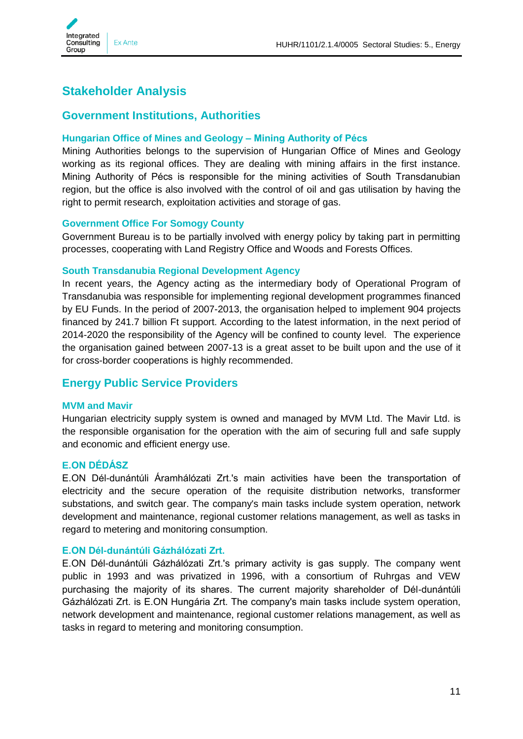

# <span id="page-10-0"></span>**Stakeholder Analysis**

## <span id="page-10-1"></span>**Government Institutions, Authorities**

## <span id="page-10-2"></span>**Hungarian Office of Mines and Geology – Mining Authority of Pécs**

Mining Authorities belongs to the supervision of Hungarian Office of Mines and Geology working as its regional offices. They are dealing with mining affairs in the first instance. Mining Authority of Pécs is responsible for the mining activities of South Transdanubian region, but the office is also involved with the control of oil and gas utilisation by having the right to permit research, exploitation activities and storage of gas.

## <span id="page-10-3"></span>**Government Office For Somogy County**

Government Bureau is to be partially involved with energy policy by taking part in permitting processes, cooperating with Land Registry Office and Woods and Forests Offices.

#### <span id="page-10-4"></span>**South Transdanubia Regional Development Agency**

In recent years, the Agency acting as the intermediary body of Operational Program of Transdanubia was responsible for implementing regional development programmes financed by EU Funds. In the period of 2007-2013, the organisation helped to implement 904 projects financed by 241.7 billion Ft support. According to the latest information, in the next period of 2014-2020 the responsibility of the Agency will be confined to county level. The experience the organisation gained between 2007-13 is a great asset to be built upon and the use of it for cross-border cooperations is highly recommended.

## <span id="page-10-5"></span>**Energy Public Service Providers**

#### <span id="page-10-6"></span>**MVM and Mavir**

Hungarian electricity supply system is owned and managed by MVM Ltd. The Mavir Ltd. is the responsible organisation for the operation with the aim of securing full and safe supply and economic and efficient energy use.

## <span id="page-10-7"></span>**E.ON DÉDÁSZ**

E.ON Dél-dunántúli Áramhálózati Zrt.'s main activities have been the transportation of electricity and the secure operation of the requisite distribution networks, transformer substations, and switch gear. The company's main tasks include system operation, network development and maintenance, regional customer relations management, as well as tasks in regard to metering and monitoring consumption.

## <span id="page-10-8"></span>**E.ON Dél-dunántúli Gázhálózati Zrt.**

E.ON Dél-dunántúli Gázhálózati Zrt.'s primary activity is gas supply. The company went public in 1993 and was privatized in 1996, with a consortium of Ruhrgas and VEW purchasing the majority of its shares. The current majority shareholder of Dél-dunántúli Gázhálózati Zrt. is E.ON Hungária Zrt. The company's main tasks include system operation, network development and maintenance, regional customer relations management, as well as tasks in regard to metering and monitoring consumption.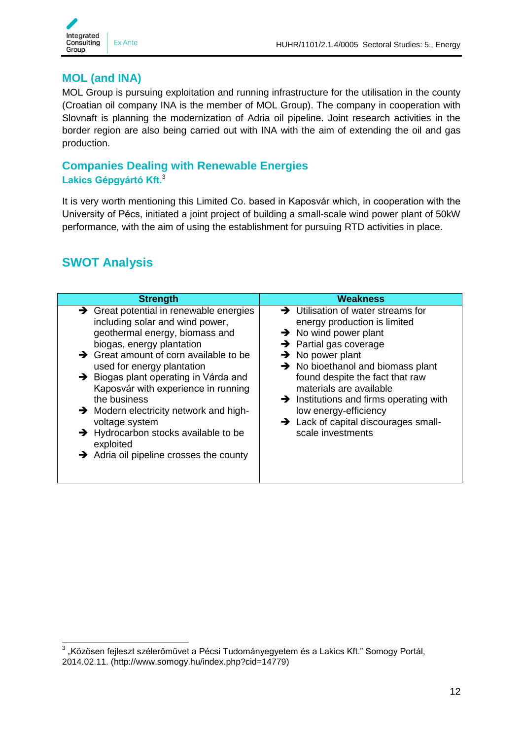

## <span id="page-11-0"></span>**MOL (and INA)**

MOL Group is pursuing exploitation and running infrastructure for the utilisation in the county (Croatian oil company INA is the member of MOL Group). The company in cooperation with Slovnaft is planning the modernization of Adria oil pipeline. Joint research activities in the border region are also being carried out with INA with the aim of extending the oil and gas production.

## <span id="page-11-2"></span><span id="page-11-1"></span>**Companies Dealing with Renewable Energies Lakics Gépgyártó Kft.**<sup>3</sup>

It is very worth mentioning this Limited Co. based in Kaposvár which, in cooperation with the University of Pécs, initiated a joint project of building a small-scale wind power plant of 50kW performance, with the aim of using the establishment for pursuing RTD activities in place.

# <span id="page-11-3"></span>**SWOT Analysis**

| <b>Strength</b>                                                                                                                                                                                                                                                                                                                                                                                                                                                                                                                                       | Weakness                                                                                                                                                                                                                                                                                                                                                                                                                                                          |
|-------------------------------------------------------------------------------------------------------------------------------------------------------------------------------------------------------------------------------------------------------------------------------------------------------------------------------------------------------------------------------------------------------------------------------------------------------------------------------------------------------------------------------------------------------|-------------------------------------------------------------------------------------------------------------------------------------------------------------------------------------------------------------------------------------------------------------------------------------------------------------------------------------------------------------------------------------------------------------------------------------------------------------------|
| $\rightarrow$ Great potential in renewable energies<br>including solar and wind power,<br>geothermal energy, biomass and<br>biogas, energy plantation<br>$\rightarrow$ Great amount of corn available to be<br>used for energy plantation<br>$\rightarrow$ Biogas plant operating in Várda and<br>Kaposvár with experience in running<br>the business<br>$\rightarrow$ Modern electricity network and high-<br>voltage system<br>$\rightarrow$ Hydrocarbon stocks available to be<br>exploited<br>$\rightarrow$ Adria oil pipeline crosses the county | $\rightarrow$ Utilisation of water streams for<br>energy production is limited<br>$\rightarrow$ No wind power plant<br>$\rightarrow$ Partial gas coverage<br>$\rightarrow$ No power plant<br>$\rightarrow$ No bioethanol and biomass plant<br>found despite the fact that raw<br>materials are available<br>$\rightarrow$ Institutions and firms operating with<br>low energy-efficiency<br>$\rightarrow$ Lack of capital discourages small-<br>scale investments |

\_\_\_\_\_\_\_\_\_\_\_\_\_\_\_\_\_\_\_\_\_\_\_\_\_\_\_\_\_\_\_\_\_\_\_\_<br><sup>3</sup> "Közösen fejleszt szélerőművet a Pécsi Tudományegyetem és a Lakics Kft." Somogy Portál, 2014.02.11. (http://www.somogy.hu/index.php?cid=14779)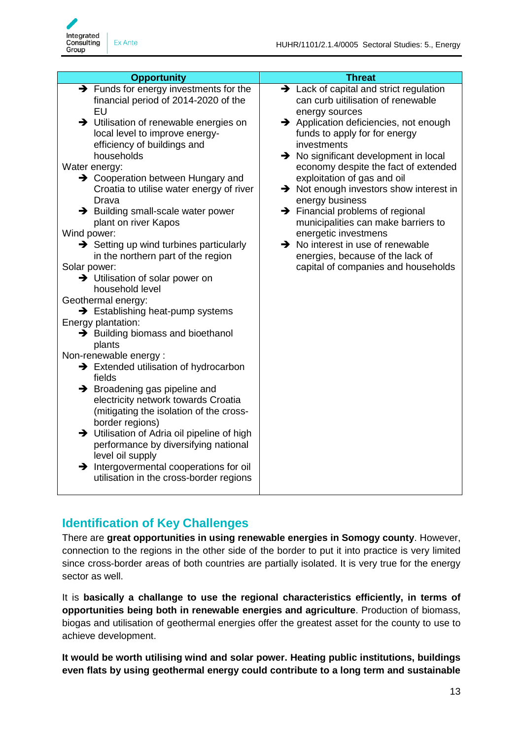

| <b>Opportunity</b>                                                                                                                                                                                                                                                                                                                                                                                                                                                                                                                                                                                                                                                                                                                                                                                                                                                                                                                                                                                                                                                                                                                                                         | <b>Threat</b>                                                                                                                                                                                                                                                                                                                                                                                                                                                                                                                                                                                                                            |
|----------------------------------------------------------------------------------------------------------------------------------------------------------------------------------------------------------------------------------------------------------------------------------------------------------------------------------------------------------------------------------------------------------------------------------------------------------------------------------------------------------------------------------------------------------------------------------------------------------------------------------------------------------------------------------------------------------------------------------------------------------------------------------------------------------------------------------------------------------------------------------------------------------------------------------------------------------------------------------------------------------------------------------------------------------------------------------------------------------------------------------------------------------------------------|------------------------------------------------------------------------------------------------------------------------------------------------------------------------------------------------------------------------------------------------------------------------------------------------------------------------------------------------------------------------------------------------------------------------------------------------------------------------------------------------------------------------------------------------------------------------------------------------------------------------------------------|
| $\rightarrow$ Funds for energy investments for the<br>financial period of 2014-2020 of the<br>EU<br>> Utilisation of renewable energies on<br>local level to improve energy-<br>efficiency of buildings and<br>households<br>Water energy:<br>→ Cooperation between Hungary and<br>Croatia to utilise water energy of river<br>Drava<br>> Building small-scale water power<br>plant on river Kapos<br>Wind power:<br>$\rightarrow$ Setting up wind turbines particularly<br>in the northern part of the region<br>Solar power:<br>> Utilisation of solar power on<br>household level<br>Geothermal energy:<br>$\rightarrow$ Establishing heat-pump systems<br>Energy plantation:<br>→ Building biomass and bioethanol<br>plants<br>Non-renewable energy:<br>$\rightarrow$ Extended utilisation of hydrocarbon<br>fields<br>$\rightarrow$ Broadening gas pipeline and<br>electricity network towards Croatia<br>(mitigating the isolation of the cross-<br>border regions)<br>> Utilisation of Adria oil pipeline of high<br>performance by diversifying national<br>level oil supply<br>> Intergovermental cooperations for oil<br>utilisation in the cross-border regions | > Lack of capital and strict regulation<br>can curb uitilisation of renewable<br>energy sources<br>Application deficiencies, not enough<br>funds to apply for for energy<br>investments<br>$\rightarrow$ No significant development in local<br>economy despite the fact of extended<br>exploitation of gas and oil<br>$\rightarrow$ Not enough investors show interest in<br>energy business<br>$\rightarrow$ Financial problems of regional<br>municipalities can make barriers to<br>energetic investmens<br>$\rightarrow$ No interest in use of renewable<br>energies, because of the lack of<br>capital of companies and households |

## <span id="page-12-0"></span>**Identification of Key Challenges**

There are **great opportunities in using renewable energies in Somogy county**. However, connection to the regions in the other side of the border to put it into practice is very limited since cross-border areas of both countries are partially isolated. It is very true for the energy sector as well.

It is **basically a challange to use the regional characteristics efficiently, in terms of opportunities being both in renewable energies and agriculture**. Production of biomass, biogas and utilisation of geothermal energies offer the greatest asset for the county to use to achieve development.

**It would be worth utilising wind and solar power. Heating public institutions, buildings even flats by using geothermal energy could contribute to a long term and sustainable**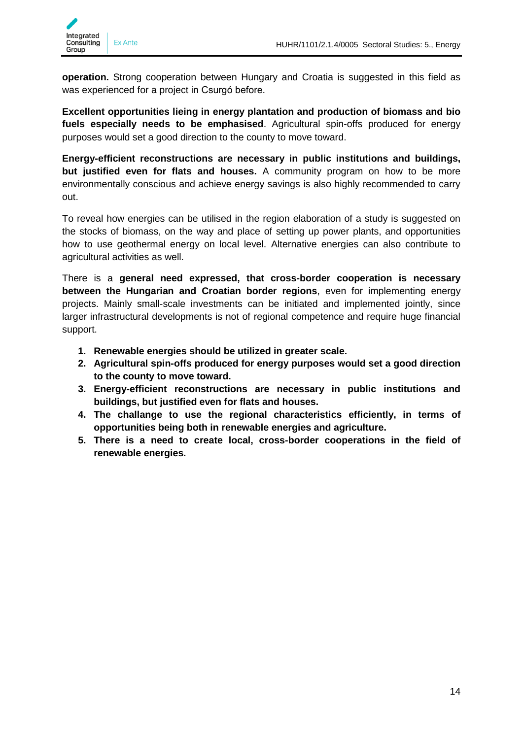

**operation.** Strong cooperation between Hungary and Croatia is suggested in this field as was experienced for a project in Csurgó before.

**Excellent opportunities lieing in energy plantation and production of biomass and bio fuels especially needs to be emphasised**. Agricultural spin-offs produced for energy purposes would set a good direction to the county to move toward.

**Energy-efficient reconstructions are necessary in public institutions and buildings, but justified even for flats and houses.** A community program on how to be more environmentally conscious and achieve energy savings is also highly recommended to carry out.

To reveal how energies can be utilised in the region elaboration of a study is suggested on the stocks of biomass, on the way and place of setting up power plants, and opportunities how to use geothermal energy on local level. Alternative energies can also contribute to agricultural activities as well.

There is a **general need expressed, that cross-border cooperation is necessary between the Hungarian and Croatian border regions**, even for implementing energy projects. Mainly small-scale investments can be initiated and implemented jointly, since larger infrastructural developments is not of regional competence and require huge financial support.

- **1. Renewable energies should be utilized in greater scale.**
- **2. Agricultural spin-offs produced for energy purposes would set a good direction to the county to move toward.**
- **3. Energy-efficient reconstructions are necessary in public institutions and buildings, but justified even for flats and houses.**
- **4. The challange to use the regional characteristics efficiently, in terms of opportunities being both in renewable energies and agriculture.**
- **5. There is a need to create local, cross-border cooperations in the field of renewable energies.**